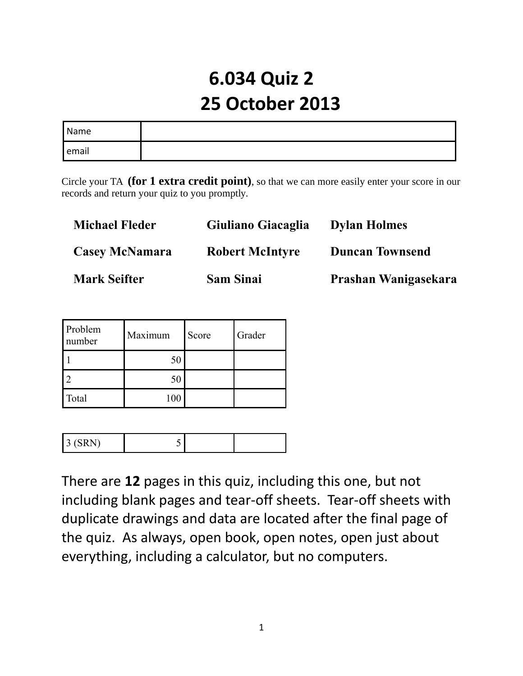# **6.034 Quiz 2 25 October 2013**

| Name               |  |
|--------------------|--|
| <sup>I</sup> email |  |

Circle your TA **(for 1 extra credit point)**, so that we can more easily enter your score in our records and return your quiz to you promptly.

| <b>Michael Fleder</b> | Giuliano Giacaglia     | <b>Dylan Holmes</b>    |
|-----------------------|------------------------|------------------------|
| <b>Casey McNamara</b> | <b>Robert McIntyre</b> | <b>Duncan Townsend</b> |
| <b>Mark Seifter</b>   | <b>Sam Sinai</b>       | Prashan Wanigasekara   |

| Problem<br>number | Maximum | Score | Grader |
|-------------------|---------|-------|--------|
|                   | 50      |       |        |
|                   | 50      |       |        |
| Total             | 100     |       |        |

| . |
|---|
|---|

There are **12** pages in this quiz, including this one, but not including blank pages and tear-off sheets. Tear-off sheets with duplicate drawings and data are located after the final page of the quiz. As always, open book, open notes, open just about everything, including a calculator, but no computers.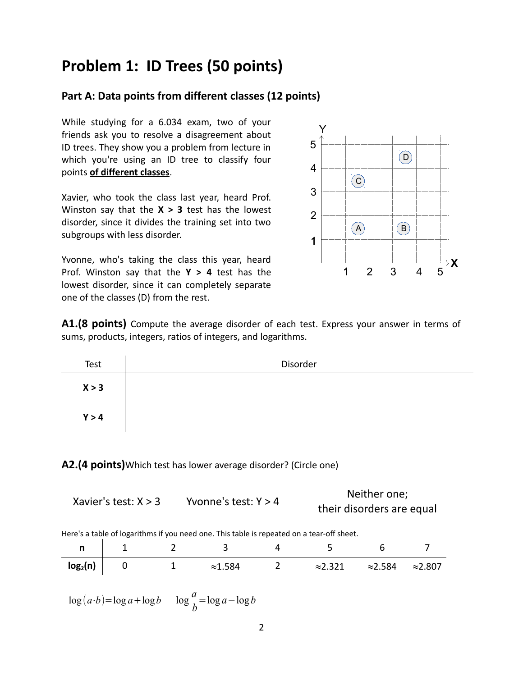### **Problem 1: ID Trees (50 points)**

#### **Part A: Data points from different classes (12 points)**

While studying for a 6.034 exam, two of your friends ask you to resolve a disagreement about ID trees. They show you a problem from lecture in which you're using an ID tree to classify four points **of different classes**.

Xavier, who took the class last year, heard Prof. Winston say that the **X > 3** test has the lowest disorder, since it divides the training set into two subgroups with less disorder.

Yvonne, who's taking the class this year, heard Prof. Winston say that the **Y > 4** test has the lowest disorder, since it can completely separate one of the classes (D) from the rest.



**A1.(8 points)** Compute the average disorder of each test. Express your answer in terms of sums, products, integers, ratios of integers, and logarithms.

| Test  | Disorder |
|-------|----------|
| X > 3 |          |
| Y > 4 |          |

**A2.(4 points)**Which test has lower average disorder? (Circle one)

|                        | Yvonne's test: $Y > 4$ | Neither one;              |
|------------------------|------------------------|---------------------------|
| Xavier's test: $X > 3$ |                        | their disorders are equal |
|                        |                        |                           |

Here's a table of logarithms if you need one. This table is repeated on a tear-off sheet.

| --                   |  |          |                 |                 |                 |
|----------------------|--|----------|-----------------|-----------------|-----------------|
| log <sub>2</sub> (n) |  | $\sim$ 1 | $\approx$ 2.321 | $\approx$ 2.584 | $\approx$ 2.807 |

 $\log(a \cdot b) = \log a + \log b \quad \log \frac{a}{b}$ *b* =log *a*−log *b*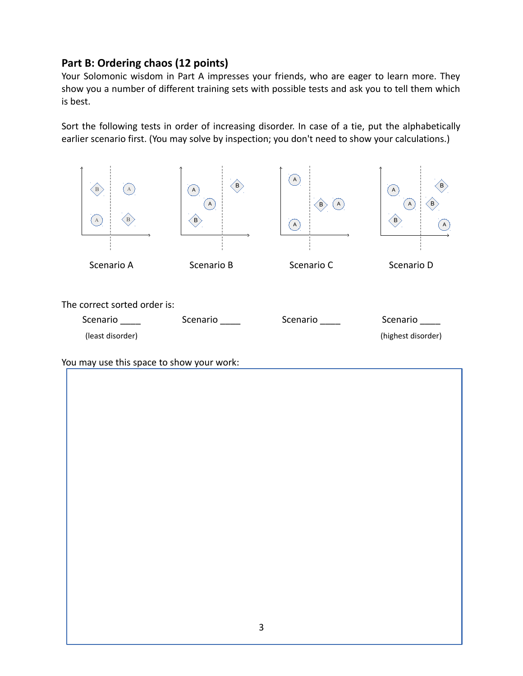#### **Part B: Ordering chaos (12 points)**

Your Solomonic wisdom in Part A impresses your friends, who are eager to learn more. They show you a number of different training sets with possible tests and ask you to tell them which is best.

Sort the following tests in order of increasing disorder. In case of a tie, put the alphabetically earlier scenario first. (You may solve by inspection; you don't need to show your calculations.)



You may use this space to show your work: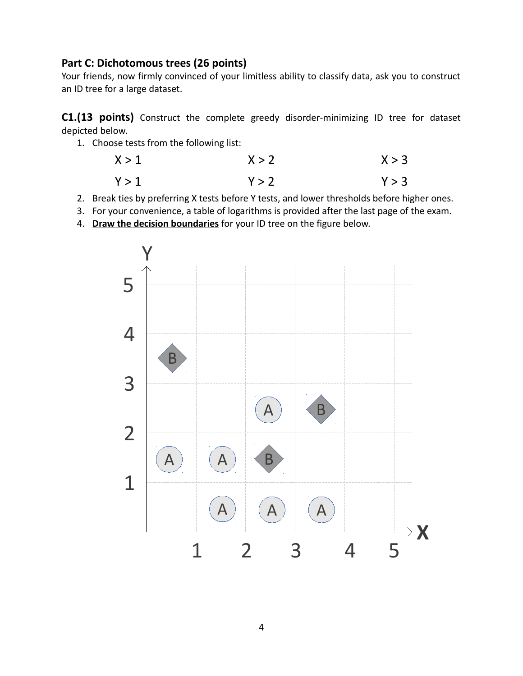#### **Part C: Dichotomous trees (26 points)**

Your friends, now firmly convinced of your limitless ability to classify data, ask you to construct an ID tree for a large dataset.

**C1.(13 points)** Construct the complete greedy disorder-minimizing ID tree for dataset depicted below.

1. Choose tests from the following list:

$$
X > 1
$$
  
 
$$
Y > 1
$$
  
 
$$
Y > 2
$$
  
 
$$
Y > 3
$$
  
 
$$
Y > 3
$$

- 2. Break ties by preferring X tests before Y tests, and lower thresholds before higher ones.
- 3. For your convenience, a table of logarithms is provided after the last page of the exam.
- 4. **Draw the decision boundaries** for your ID tree on the figure below.

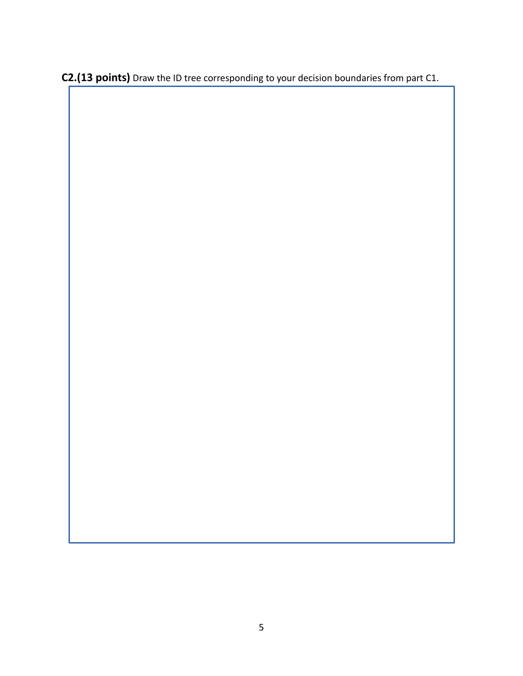**C2.(13 points)** Draw the ID tree corresponding to your decision boundaries from part C1.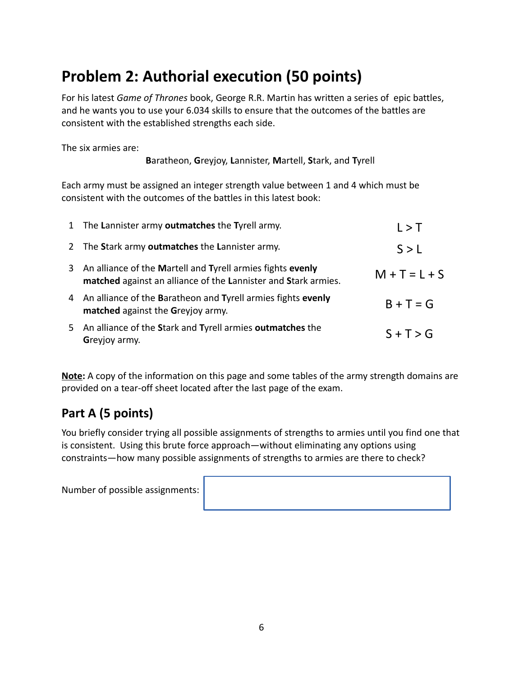# **Problem 2: Authorial execution (50 points)**

For his latest *Game of Thrones* book, George R.R. Martin has written a series of epic battles, and he wants you to use your 6.034 skills to ensure that the outcomes of the battles are consistent with the established strengths each side.

The six armies are:

**B**aratheon, **G**reyjoy, **L**annister, **M**artell, **S**tark, and **T**yrell

Each army must be assigned an integer strength value between 1 and 4 which must be consistent with the outcomes of the battles in this latest book:

| 1 The Lannister army outmatches the Tyrell army.                                                                               | L > T           |
|--------------------------------------------------------------------------------------------------------------------------------|-----------------|
| 2 The Stark army outmatches the Lannister army.                                                                                | S > L           |
| 3 An alliance of the Martell and Tyrell armies fights evenly<br>matched against an alliance of the Lannister and Stark armies. | $M + T = L + S$ |
| 4 An alliance of the Baratheon and Tyrell armies fights evenly<br>matched against the Greyjoy army.                            | $B + T = G$     |
| 5 An alliance of the Stark and Tyrell armies outmatches the<br>Greyjoy army.                                                   | $S + T > G$     |

**Note:** A copy of the information on this page and some tables of the army strength domains are provided on a tear-off sheet located after the last page of the exam.

### **Part A (5 points)**

You briefly consider trying all possible assignments of strengths to armies until you find one that is consistent. Using this brute force approach—without eliminating any options using constraints—how many possible assignments of strengths to armies are there to check?

Number of possible assignments: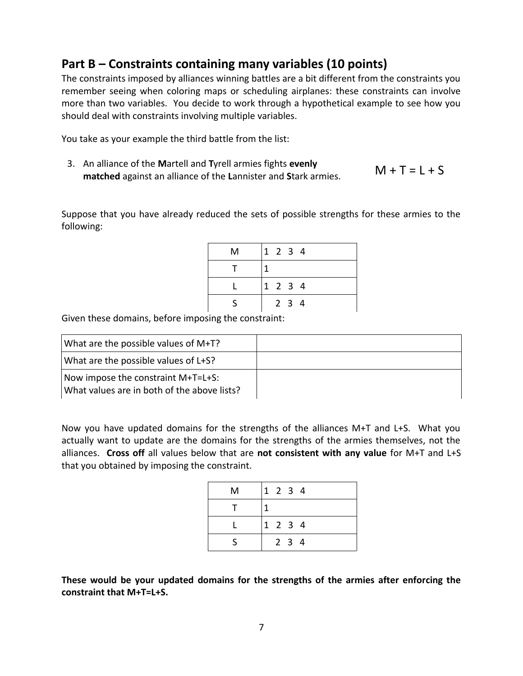#### **Part B – Constraints containing many variables (10 points)**

The constraints imposed by alliances winning battles are a bit different from the constraints you remember seeing when coloring maps or scheduling airplanes: these constraints can involve more than two variables. You decide to work through a hypothetical example to see how you should deal with constraints involving multiple variables.

You take as your example the third battle from the list:

3. An alliance of the **M**artell and **T**yrell armies fights **evenly matched** against an alliance of the **L**annister and **S**tark armies. M + T = L + S

Suppose that you have already reduced the sets of possible strengths for these armies to the following:

| м |  | 1 2 3 4     |  |
|---|--|-------------|--|
|   |  |             |  |
|   |  | 1 2 3 4     |  |
|   |  | $2 \t3 \t4$ |  |

Given these domains, before imposing the constraint:

| What are the possible values of M+T?                                              |  |
|-----------------------------------------------------------------------------------|--|
| What are the possible values of L+S?                                              |  |
| Now impose the constraint M+T=L+S:<br>What values are in both of the above lists? |  |

Now you have updated domains for the strengths of the alliances M+T and L+S. What you actually want to update are the domains for the strengths of the armies themselves, not the alliances. **Cross off** all values below that are **not consistent with any value** for M+T and L+S that you obtained by imposing the constraint.

| м |  | 1 2 3 4     |  |
|---|--|-------------|--|
|   |  |             |  |
|   |  | 1 2 3 4     |  |
|   |  | $2 \t3 \t4$ |  |

**These would be your updated domains for the strengths of the armies after enforcing the constraint that M+T=L+S.**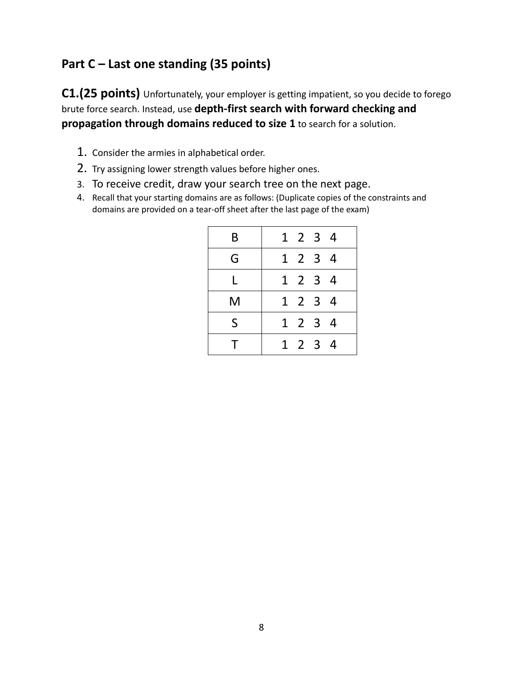### **Part C – Last one standing (35 points)**

**C1.(25 points)** Unfortunately, your employer is getting impatient, so you decide to forego brute force search. Instead, use **depth-first search with forward checking and propagation through domains reduced to size 1** to search for a solution.

- 1. Consider the armies in alphabetical order.
- 2. Try assigning lower strength values before higher ones.
- 3. To receive credit, draw your search tree on the next page.
- 4. Recall that your starting domains are as follows: (Duplicate copies of the constraints and domains are provided on a tear-off sheet after the last page of the exam)

| B | 1 2 3 4 |  |  |
|---|---------|--|--|
| G | 1 2 3 4 |  |  |
| L | 1 2 3 4 |  |  |
| M | 1 2 3 4 |  |  |
| S | 1 2 3 4 |  |  |
| т | 1 2 3 4 |  |  |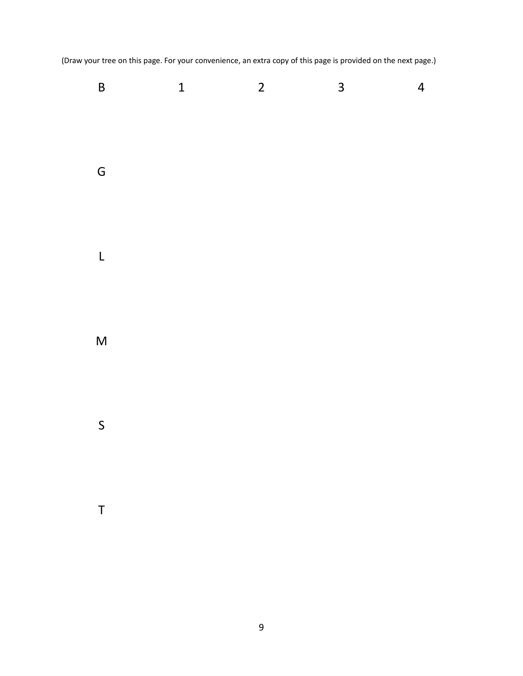(Draw your tree on this page. For your convenience, an extra copy of this page is provided on the next page.)

| $\overline{B}$          | $\mathbf{1}$ | $\overline{2}$ | $\overline{\mathbf{3}}$ | $\overline{4}$ |
|-------------------------|--------------|----------------|-------------------------|----------------|
| G                       |              |                |                         |                |
| $\mathsf L$             |              |                |                         |                |
| $\overline{\mathsf{M}}$ |              |                |                         |                |
| $\mathsf{S}$            |              |                |                         |                |
| $\sf T$                 |              |                |                         |                |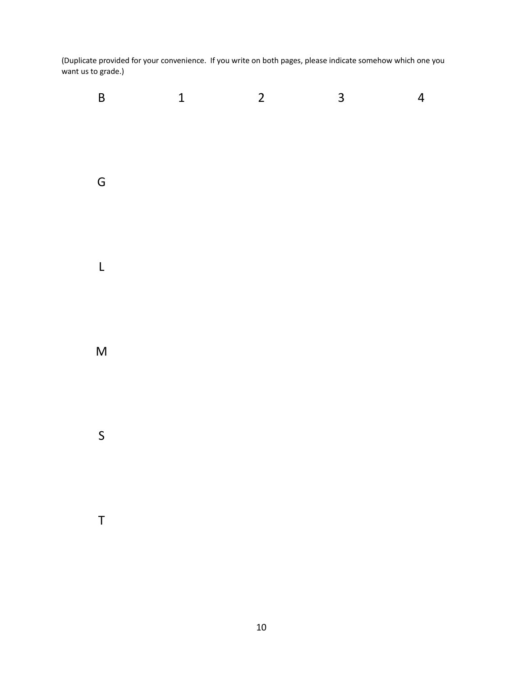(Duplicate provided for your convenience. If you write on both pages, please indicate somehow which one you want us to grade.)

| $\mathsf B$  | $\mathbf{1}$ | $\overline{c}$ | $\overline{3}$ | $\overline{a}$ |
|--------------|--------------|----------------|----------------|----------------|
| G            |              |                |                |                |
| $\mathsf{L}$ |              |                |                |                |
| $\mathsf{M}$ |              |                |                |                |
| $\mathsf{S}$ |              |                |                |                |
| $\mathsf T$  |              |                |                |                |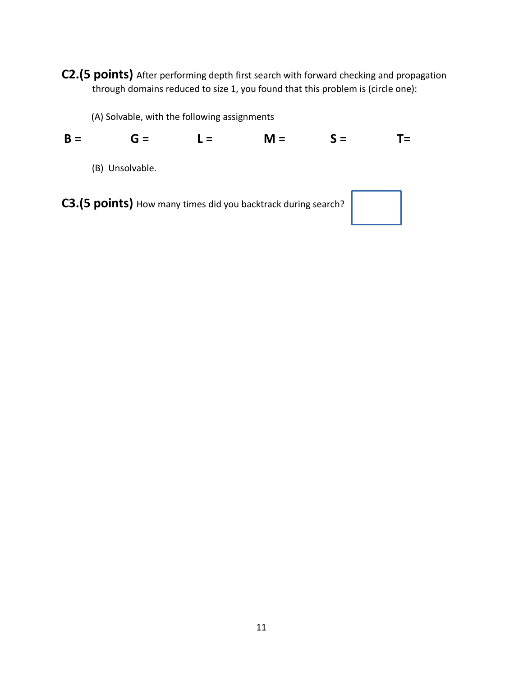**C2.(5 points)** After performing depth first search with forward checking and propagation through domains reduced to size 1, you found that this problem is (circle one):

(A) Solvable, with the following assignments

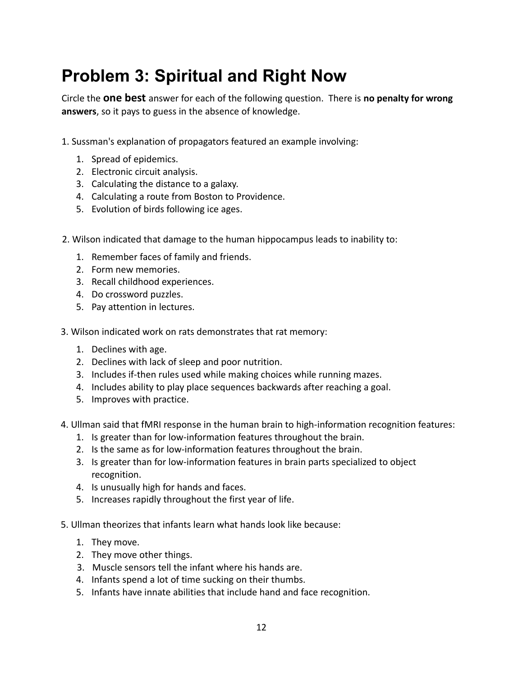# **Problem 3: Spiritual and Right Now**

Circle the **one best** answer for each of the following question. There is **no penalty for wrong answers**, so it pays to guess in the absence of knowledge.

- 1. Sussman's explanation of propagators featured an example involving:
	- 1. Spread of epidemics.
	- 2. Electronic circuit analysis.
	- 3. Calculating the distance to a galaxy.
	- 4. Calculating a route from Boston to Providence.
	- 5. Evolution of birds following ice ages.
- 2. Wilson indicated that damage to the human hippocampus leads to inability to:
	- 1. Remember faces of family and friends.
	- 2. Form new memories.
	- 3. Recall childhood experiences.
	- 4. Do crossword puzzles.
	- 5. Pay attention in lectures.
- 3. Wilson indicated work on rats demonstrates that rat memory:
	- 1. Declines with age.
	- 2. Declines with lack of sleep and poor nutrition.
	- 3. Includes if-then rules used while making choices while running mazes.
	- 4. Includes ability to play place sequences backwards after reaching a goal.
	- 5. Improves with practice.
- 4. Ullman said that fMRI response in the human brain to high-information recognition features:
	- 1. Is greater than for low-information features throughout the brain.
	- 2. Is the same as for low-information features throughout the brain.
	- 3. Is greater than for low-information features in brain parts specialized to object recognition.
	- 4. Is unusually high for hands and faces.
	- 5. Increases rapidly throughout the first year of life.
- 5. Ullman theorizes that infants learn what hands look like because:
	- 1. They move.
	- 2. They move other things.
	- 3. Muscle sensors tell the infant where his hands are.
	- 4. Infants spend a lot of time sucking on their thumbs.
	- 5. Infants have innate abilities that include hand and face recognition.